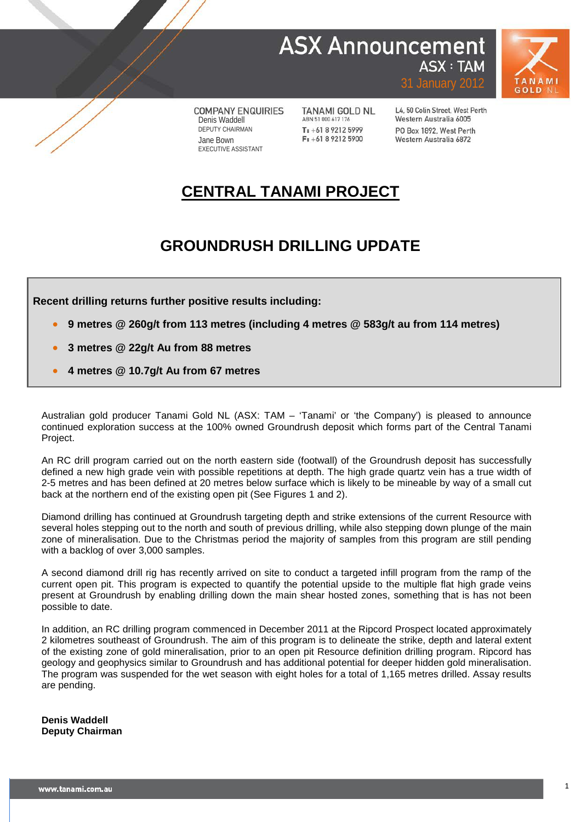## **ASX Announcement ASX: TAM**



**COMPANY ENQUIRIES** Denis Waddell DEPUTY CHAIRMAN Jane Bown EXECUTIVE ASSISTANT

**TANAMI GOLD NL** ABN 51 000 617 176 T: +61 8 9212 5999  $F: +61892125900$ 

L4, 50 Colin Street, West Perth Western Australia 6005 PO Box 1892, West Perth Western Australia 6872

31 January 2012

## **CENTRAL TANAMI PROJECT**

## **GROUNDRUSH DRILLING UPDATE**

**Recent drilling returns further positive results including:**

- **9 metres @ 260g/t from 113 metres (including 4 metres @ 583g/t au from 114 metres)**
- **3 metres @ 22g/t Au from 88 metres**
- **4 metres @ 10.7g/t Au from 67 metres**

Australian gold producer Tanami Gold NL (ASX: TAM – 'Tanami' or 'the Company') is pleased to announce continued exploration success at the 100% owned Groundrush deposit which forms part of the Central Tanami Project.

An RC drill program carried out on the north eastern side (footwall) of the Groundrush deposit has successfully defined a new high grade vein with possible repetitions at depth. The high grade quartz vein has a true width of 2-5 metres and has been defined at 20 metres below surface which is likely to be mineable by way of a small cut back at the northern end of the existing open pit (See Figures 1 and 2).

Diamond drilling has continued at Groundrush targeting depth and strike extensions of the current Resource with several holes stepping out to the north and south of previous drilling, while also stepping down plunge of the main zone of mineralisation. Due to the Christmas period the majority of samples from this program are still pending with a backlog of over 3,000 samples.

A second diamond drill rig has recently arrived on site to conduct a targeted infill program from the ramp of the current open pit. This program is expected to quantify the potential upside to the multiple flat high grade veins present at Groundrush by enabling drilling down the main shear hosted zones, something that is has not been possible to date.

In addition, an RC drilling program commenced in December 2011 at the Ripcord Prospect located approximately 2 kilometres southeast of Groundrush. The aim of this program is to delineate the strike, depth and lateral extent of the existing zone of gold mineralisation, prior to an open pit Resource definition drilling program. Ripcord has geology and geophysics similar to Groundrush and has additional potential for deeper hidden gold mineralisation. The program was suspended for the wet season with eight holes for a total of 1,165 metres drilled. Assay results are pending.

**Denis Waddell Deputy Chairman**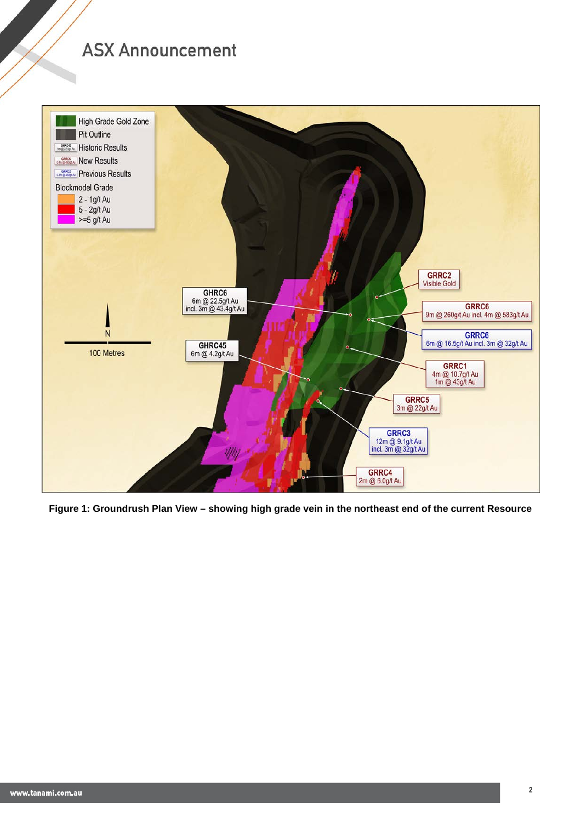

**Figure 1: Groundrush Plan View – showing high grade vein in the northeast end of the current Resource**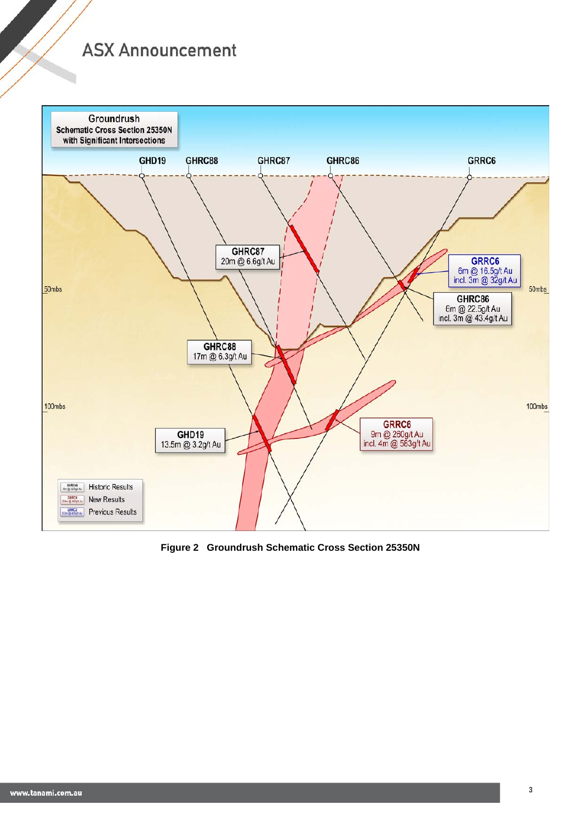

**Figure 2 Groundrush Schematic Cross Section 25350N**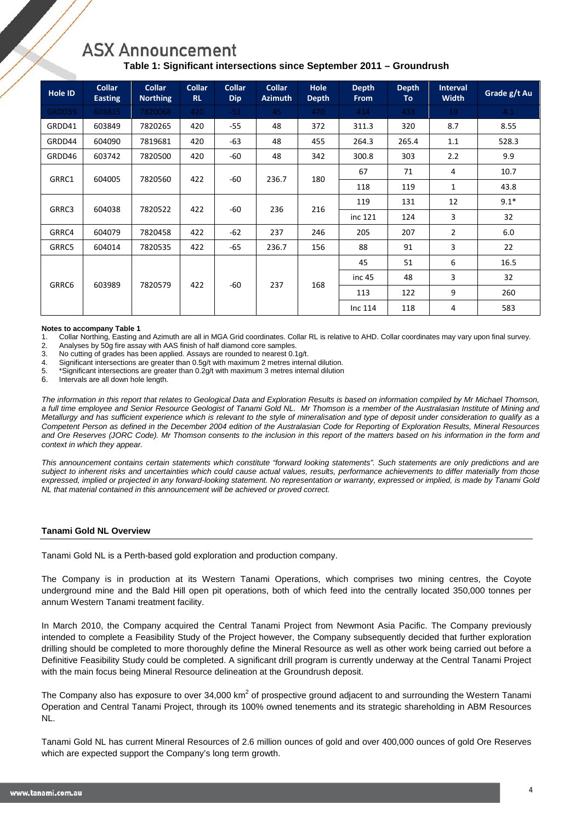## **Table 1: Significant intersections since September 2011 – Groundrush**

| <b>Hole ID</b> | <b>Collar</b><br><b>Easting</b> | <b>Collar</b><br><b>Northing</b> | <b>Collar</b><br><b>RL</b> | <b>Collar</b><br><b>Dip</b> | <b>Collar</b><br><b>Azimuth</b> | <b>Hole</b><br><b>Depth</b> | <b>Depth</b><br><b>From</b> | <b>Depth</b><br>To | <b>Interval</b><br><b>Width</b> | Grade g/t Au |
|----------------|---------------------------------|----------------------------------|----------------------------|-----------------------------|---------------------------------|-----------------------------|-----------------------------|--------------------|---------------------------------|--------------|
| GRDD39         | 603815                          | 7820068                          | 420                        | $-51$                       | 45                              | 470                         | 414                         | 433                | 19                              | 4.1          |
| GRDD41         | 603849                          | 7820265                          | 420                        | $-55$                       | 48                              | 372                         | 311.3                       | 320                | 8.7                             | 8.55         |
| GRDD44         | 604090                          | 7819681                          | 420                        | $-63$                       | 48                              | 455                         | 264.3                       | 265.4              | 1.1                             | 528.3        |
| GRDD46         | 603742                          | 7820500                          | 420                        | $-60$                       | 48                              | 342                         | 300.8                       | 303                | 2.2                             | 9.9          |
| GRRC1          | 604005                          | 7820560                          | 422                        | $-60$                       | 236.7                           | 180                         | 67                          | 71                 | 4                               | 10.7         |
|                |                                 |                                  |                            |                             |                                 |                             | 118                         | 119                | 1                               | 43.8         |
| GRRC3          | 604038                          | 7820522                          | 422                        | $-60$                       | 236                             | 216                         | 119                         | 131                | 12                              | $9.1*$       |
|                |                                 |                                  |                            |                             |                                 |                             | inc 121                     | 124                | 3                               | 32           |
| GRRC4          | 604079                          | 7820458                          | 422                        | $-62$                       | 237                             | 246                         | 205                         | 207                | $\overline{2}$                  | 6.0          |
| GRRC5          | 604014                          | 7820535                          | 422                        | $-65$                       | 236.7                           | 156                         | 88                          | 91                 | 3                               | 22           |
| GRRC6          | 603989                          | 7820579                          | 422                        | $-60$                       | 237                             | 168                         | 45                          | 51                 | 6                               | 16.5         |
|                |                                 |                                  |                            |                             |                                 |                             | inc <sub>45</sub>           | 48                 | 3                               | 32           |
|                |                                 |                                  |                            |                             |                                 |                             | 113                         | 122                | 9                               | 260          |
|                |                                 |                                  |                            |                             |                                 |                             | Inc $114$                   | 118                | 4                               | 583          |

## **Notes to accompany Table 1**<br>1. Collar Northing, Easting

1. Collar Northing, Easting and Azimuth are all in MGA Grid coordinates. Collar RL is relative to AHD. Collar coordinates may vary upon final survey.

2. Analyses by 50g fire assay with AAS finish of half diamond core samples.<br>3. No cutting of grades has been applied. Assays are rounded to nearest 0.

No cutting of grades has been applied. Assays are rounded to nearest 0.1g/t.

4. Significant intersections are greater than 0.5g/t with maximum 2 metres internal dilution.

5. \*Significant intersections are greater than 0.2g/t with maximum 3 metres internal dilution

Intervals are all down hole length.

*The information in this report that relates to Geological Data and Exploration Results is based on information compiled by Mr Michael Thomson, a full time employee and Senior Resource Geologist of Tanami Gold NL. Mr Thomson is a member of the Australasian Institute of Mining and Metallurgy and has sufficient experience which is relevant to the style of mineralisation and type of deposit under consideration to qualify as a Competent Person as defined in the December 2004 edition of the Australasian Code for Reporting of Exploration Results, Mineral Resources and Ore Reserves (JORC Code). Mr Thomson consents to the inclusion in this report of the matters based on his information in the form and context in which they appear.*

*This announcement contains certain statements which constitute "forward looking statements". Such statements are only predictions and are subject to inherent risks and uncertainties which could cause actual values, results, performance achievements to differ materially from those expressed, implied or projected in any forward-looking statement. No representation or warranty, expressed or implied, is made by Tanami Gold NL that material contained in this announcement will be achieved or proved correct.* 

### **Tanami Gold NL Overview**

Tanami Gold NL is a Perth-based gold exploration and production company.

The Company is in production at its Western Tanami Operations, which comprises two mining centres, the Coyote underground mine and the Bald Hill open pit operations, both of which feed into the centrally located 350,000 tonnes per annum Western Tanami treatment facility.

In March 2010, the Company acquired the Central Tanami Project from Newmont Asia Pacific. The Company previously intended to complete a Feasibility Study of the Project however, the Company subsequently decided that further exploration drilling should be completed to more thoroughly define the Mineral Resource as well as other work being carried out before a Definitive Feasibility Study could be completed. A significant drill program is currently underway at the Central Tanami Project with the main focus being Mineral Resource delineation at the Groundrush deposit.

The Company also has exposure to over 34,000 km<sup>2</sup> of prospective ground adjacent to and surrounding the Western Tanami Operation and Central Tanami Project, through its 100% owned tenements and its strategic shareholding in ABM Resources NL.

Tanami Gold NL has current Mineral Resources of 2.6 million ounces of gold and over 400,000 ounces of gold Ore Reserves which are expected support the Company's long term growth.